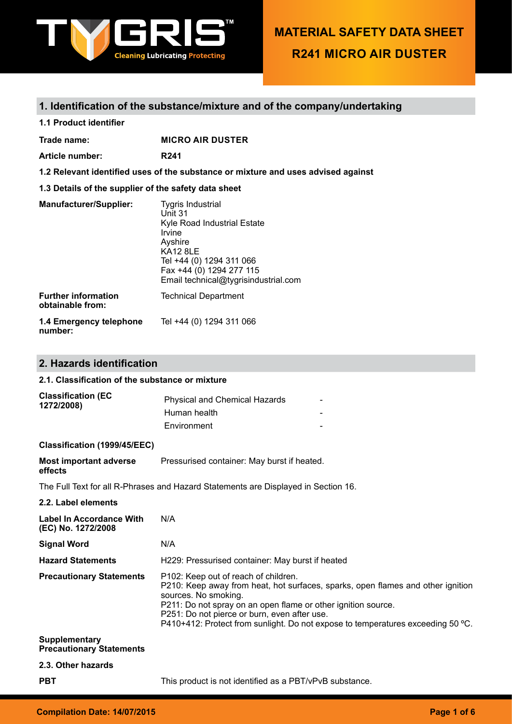

**R241 MICRO AIR DUSTER**

# **1. Identification of the substance/mixture and of the company/undertaking**

|  | 1.1 Product identifier |
|--|------------------------|
|  |                        |

**Trade name: MICRO AIR DUSTER**

**Article number: R241**

**1.2 Relevant identified uses of the substance or mixture and uses advised against**

#### **1.3 Details of the supplier of the safety data sheet**

| <b>Manufacturer/Supplier:</b>                  | <b>Tygris Industrial</b><br>Unit 31<br>Kyle Road Industrial Estate<br>Irvine<br>Ayshire<br><b>KA12 8LE</b><br>Tel +44 (0) 1294 311 066<br>Fax +44 (0) 1294 277 115<br>Email technical@tygrisindustrial.com |
|------------------------------------------------|------------------------------------------------------------------------------------------------------------------------------------------------------------------------------------------------------------|
| <b>Further information</b><br>obtainable from: | <b>Technical Department</b>                                                                                                                                                                                |
| 1.4 Emergency telephone<br>number:             | Tel +44 (0) 1294 311 066                                                                                                                                                                                   |

# **2. Hazards identification**

#### **2.1. Classification of the substance or mixture**

| <b>Classification (EC)</b><br>1272/2008) | <b>Physical and Chemical Hazards</b> | - |
|------------------------------------------|--------------------------------------|---|
|                                          | Human health                         |   |
|                                          | Environment                          | - |

## **Classification (1999/45/EEC)**

| Most important adverse | Pressurised container: May burst if heated. |
|------------------------|---------------------------------------------|
| effects                |                                             |

The Full Text for all R-Phrases and Hazard Statements are Displayed in Section 16.

| 2.2. Label elements                                     |                                                                                                                                                                                                                                                                                                                                                               |
|---------------------------------------------------------|---------------------------------------------------------------------------------------------------------------------------------------------------------------------------------------------------------------------------------------------------------------------------------------------------------------------------------------------------------------|
| Label In Accordance With<br>(EC) No. 1272/2008          | N/A                                                                                                                                                                                                                                                                                                                                                           |
| <b>Signal Word</b>                                      | N/A                                                                                                                                                                                                                                                                                                                                                           |
| <b>Hazard Statements</b>                                | H229: Pressurised container: May burst if heated                                                                                                                                                                                                                                                                                                              |
| <b>Precautionary Statements</b>                         | P102: Keep out of reach of children.<br>P210: Keep away from heat, hot surfaces, sparks, open flames and other ignition<br>sources. No smoking.<br>P211: Do not spray on an open flame or other ignition source.<br>P251: Do not pierce or burn, even after use.<br>P410+412: Protect from sunlight. Do not expose to temperatures exceeding 50 $^{\circ}$ C. |
| <b>Supplementary</b><br><b>Precautionary Statements</b> |                                                                                                                                                                                                                                                                                                                                                               |
| 2.3. Other hazards                                      |                                                                                                                                                                                                                                                                                                                                                               |
| <b>PBT</b>                                              | This product is not identified as a PBT/vPvB substance.                                                                                                                                                                                                                                                                                                       |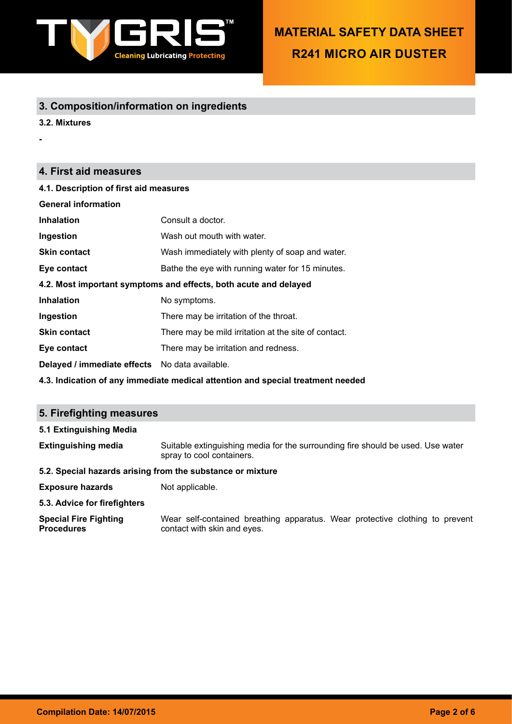

# **3. Composition/information on ingredients**

**3.2. Mixtures**

**-**

# **4. First aid measures**

| 4.1. Description of first aid measures                                          |                                                      |  |
|---------------------------------------------------------------------------------|------------------------------------------------------|--|
| <b>General information</b>                                                      |                                                      |  |
| <b>Inhalation</b>                                                               | Consult a doctor.                                    |  |
| Ingestion                                                                       | Wash out mouth with water.                           |  |
| <b>Skin contact</b>                                                             | Wash immediately with plenty of soap and water.      |  |
| Eye contact                                                                     | Bathe the eye with running water for 15 minutes.     |  |
| 4.2. Most important symptoms and effects, both acute and delayed                |                                                      |  |
| <b>Inhalation</b>                                                               | No symptoms.                                         |  |
| Ingestion                                                                       | There may be irritation of the throat.               |  |
| <b>Skin contact</b>                                                             | There may be mild irritation at the site of contact. |  |
| Eye contact                                                                     | There may be irritation and redness.                 |  |
| Delayed / immediate effects No data available.                                  |                                                      |  |
| 4.3. Indication of any immediate medical attention and special treatment needed |                                                      |  |

# **5. Firefighting measures 5.1 Extinguishing Media Extinguishing media** Suitable extinguishing media for the surrounding fire should be used. Use water spray to cool containers. **5.2. Special hazards arising from the substance or mixture Exposure hazards** Not applicable. **5.3. Advice for firefighters Special Fire Fighting Procedures** Wear self-contained breathing apparatus. Wear protective clothing to prevent contact with skin and eyes.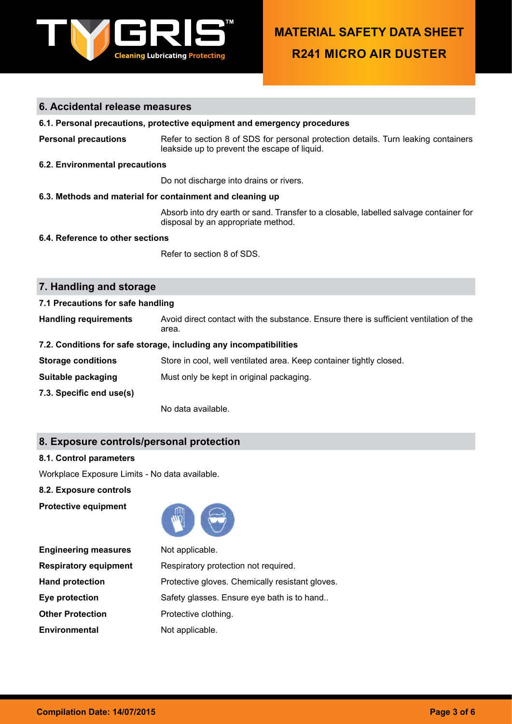

# **MATERIAL SAFETY DATA SHEET**

**R241 MICRO AIR DUSTER**

## **6. Accidental release measures**

#### **6.1. Personal precautions, protective equipment and emergency procedures**

**Personal precautions** Refer to section 8 of SDS for personal protection details. Turn leaking containers leakside up to prevent the escape of liquid.

#### **6.2. Environmental precautions**

Do not discharge into drains or rivers.

#### **6.3. Methods and material for containment and cleaning up**

Absorb into dry earth or sand. Transfer to a closable, labelled salvage container for disposal by an appropriate method.

#### **6.4. Reference to other sections**

Refer to section 8 of SDS.

#### **7. Handling and storage**

#### **7.1 Precautions for safe handling**

**Handling requirements** Avoid direct contact with the substance. Ensure there is sufficient ventilation of the area.

#### **7.2. Conditions for safe storage, including any incompatibilities**

- **Storage conditions** Store in cool, well ventilated area. Keep container tightly closed.
- **Suitable packaging** Must only be kept in original packaging.
- **7.3. Specific end use(s)**

No data available.

### **8. Exposure controls/personal protection**

#### **8.1. Control parameters**

Workplace Exposure Limits - No data available.

**8.2. Exposure controls**

**Protective equipment**



| <b>Engineering measures</b>  | Not applicable.                                 |
|------------------------------|-------------------------------------------------|
| <b>Respiratory equipment</b> | Respiratory protection not required.            |
| <b>Hand protection</b>       | Protective gloves. Chemically resistant gloves. |
| Eye protection               | Safety glasses. Ensure eye bath is to hand      |
| <b>Other Protection</b>      | Protective clothing.                            |
| <b>Environmental</b>         | Not applicable.                                 |
|                              |                                                 |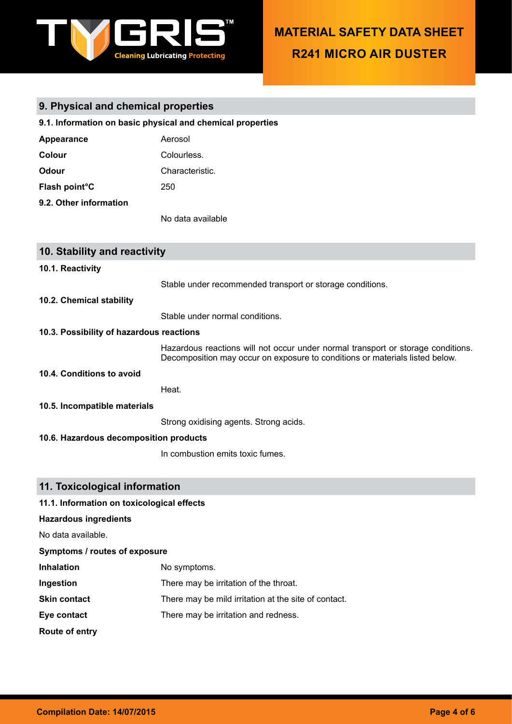

# **9. Physical and chemical properties**

**9.1. Information on basic physical and chemical properties**

| Appearance                                 | Aerosol                                                                                                                                                          |  |
|--------------------------------------------|------------------------------------------------------------------------------------------------------------------------------------------------------------------|--|
| Colour                                     | Colourless.                                                                                                                                                      |  |
| <b>Odour</b>                               | Characteristic.                                                                                                                                                  |  |
| Flash point°C                              | 250                                                                                                                                                              |  |
| 9.2. Other information                     |                                                                                                                                                                  |  |
|                                            | No data available                                                                                                                                                |  |
|                                            |                                                                                                                                                                  |  |
| 10. Stability and reactivity               |                                                                                                                                                                  |  |
| 10.1. Reactivity                           |                                                                                                                                                                  |  |
|                                            | Stable under recommended transport or storage conditions.                                                                                                        |  |
| 10.2. Chemical stability                   |                                                                                                                                                                  |  |
|                                            | Stable under normal conditions.                                                                                                                                  |  |
| 10.3. Possibility of hazardous reactions   |                                                                                                                                                                  |  |
|                                            | Hazardous reactions will not occur under normal transport or storage conditions.<br>Decomposition may occur on exposure to conditions or materials listed below. |  |
| 10.4. Conditions to avoid                  |                                                                                                                                                                  |  |
|                                            | Heat.                                                                                                                                                            |  |
| 10.5. Incompatible materials               |                                                                                                                                                                  |  |
|                                            | Strong oxidising agents. Strong acids.                                                                                                                           |  |
| 10.6. Hazardous decomposition products     |                                                                                                                                                                  |  |
|                                            | In combustion emits toxic fumes.                                                                                                                                 |  |
|                                            |                                                                                                                                                                  |  |
| 11. Toxicological information              |                                                                                                                                                                  |  |
| 11.1. Information on toxicological effects |                                                                                                                                                                  |  |
| <b>Hazardous ingredients</b>               |                                                                                                                                                                  |  |
| No data available.                         |                                                                                                                                                                  |  |
| Symptoms / routes of exposure              |                                                                                                                                                                  |  |

| <b>Inhalation</b>   | No symptoms.                                         |
|---------------------|------------------------------------------------------|
| Ingestion           | There may be irritation of the throat.               |
| <b>Skin contact</b> | There may be mild irritation at the site of contact. |
| Eye contact         | There may be irritation and redness.                 |
| Route of entry      |                                                      |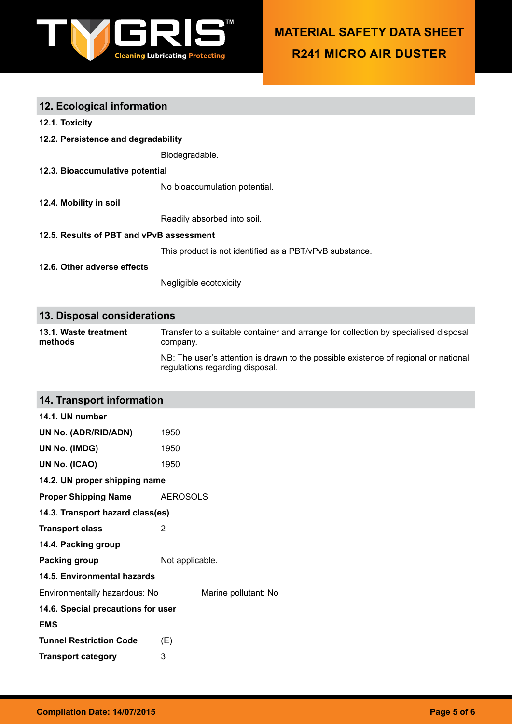

# **12. Ecological information**

| 12.1. Toxicity |  |
|----------------|--|
|----------------|--|

**12.2. Persistence and degradability**

Biodegradable.

**12.3. Bioaccumulative potential**

No bioaccumulation potential.

**12.4. Mobility in soil**

Readily absorbed into soil.

**12.5. Results of PBT and vPvB assessment**

This product is not identified as a PBT/vPvB substance.

**12.6. Other adverse effects**

Negligible ecotoxicity

## **13. Disposal considerations**

**13.1. Waste treatment methods** Transfer to a suitable container and arrange for collection by specialised disposal company. NB: The user's attention is drawn to the possible existence of regional or national regulations regarding disposal.

| <b>14. Transport information</b>   |                                  |  |  |
|------------------------------------|----------------------------------|--|--|
| 14.1. UN number                    |                                  |  |  |
| UN No. (ADR/RID/ADN)               | 1950                             |  |  |
| UN No. (IMDG)                      | 1950                             |  |  |
| UN No. (ICAO)                      | 1950                             |  |  |
| 14.2. UN proper shipping name      |                                  |  |  |
| <b>Proper Shipping Name</b>        | <b>AEROSOLS</b>                  |  |  |
|                                    | 14.3. Transport hazard class(es) |  |  |
| <b>Transport class</b>             | 2                                |  |  |
| 14.4. Packing group                |                                  |  |  |
| Packing group                      | Not applicable.                  |  |  |
| 14.5. Environmental hazards        |                                  |  |  |
| Environmentally hazardous: No      | Marine pollutant: No             |  |  |
| 14.6. Special precautions for user |                                  |  |  |
| <b>EMS</b>                         |                                  |  |  |
| <b>Tunnel Restriction Code</b>     | (E)                              |  |  |
| <b>Transport category</b>          | 3                                |  |  |